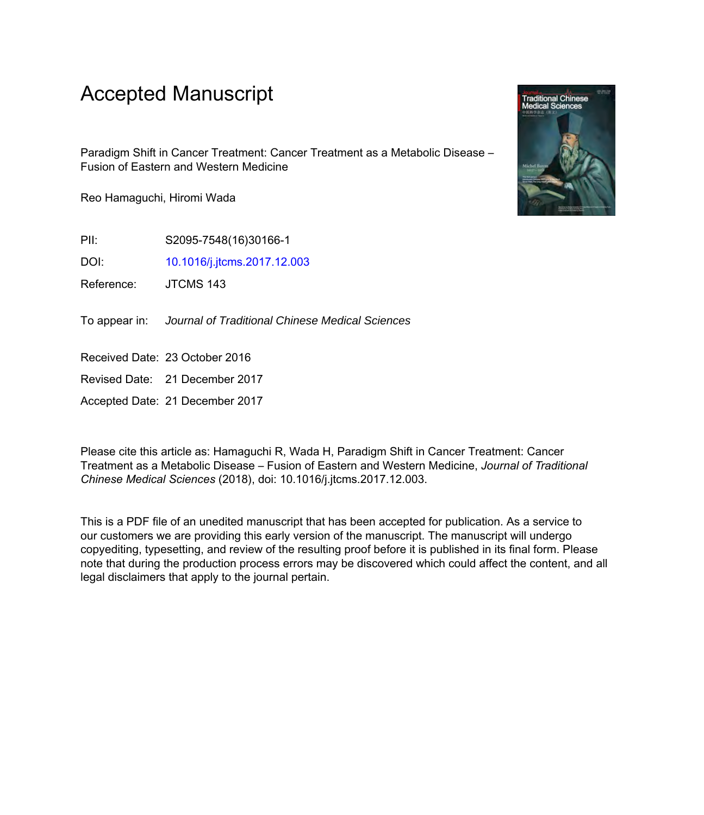### Accepted Manuscript

Paradigm Shift in Cancer Treatment: Cancer Treatment as a Metabolic Disease – Fusion of Eastern and Western Medicine

Reo Hamaguchi, Hiromi Wada

PII: S2095-7548(16)30166-1

DOI: [10.1016/j.jtcms.2017.12.003](https://doi.org/10.1016/j.jtcms.2017.12.003)

Reference: JTCMS 143

To appear in: Journal of Traditional Chinese Medical Sciences

Received Date: 23 October 2016

Revised Date: 21 December 2017

Accepted Date: 21 December 2017

Please cite this article as: Hamaguchi R, Wada H, Paradigm Shift in Cancer Treatment: Cancer Treatment as a Metabolic Disease – Fusion of Eastern and Western Medicine, *Journal of Traditional Chinese Medical Sciences* (2018), doi: 10.1016/j.jtcms.2017.12.003.

This is a PDF file of an unedited manuscript that has been accepted for publication. As a service to our customers we are providing this early version of the manuscript. The manuscript will undergo copyediting, typesetting, and review of the resulting proof before it is published in its final form. Please note that during the production process errors may be discovered which could affect the content, and all legal disclaimers that apply to the journal pertain.

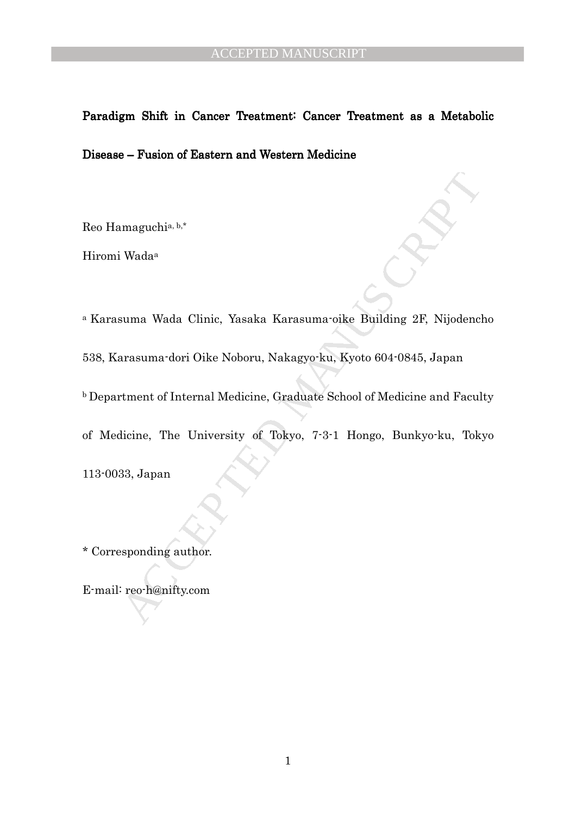# Paradigm Shift in Cancer Treatment: Cancer Treatment as a Metabolic Disease – Fusion of Eastern and Western Medicine

Reo Hamaguchia, b,\*

Hiromi Wada<sup>a</sup>

maguchia, b.\*<br>
Wada<sup>a</sup><br>
suma Wada Clinic, Yasaka Karasuma oike Building 2F, Nijodenclarasuma dori Oike Noboru, Nakagyo-ku, Kyoto 604-0845, Japan<br>
tment of Internal Medicine, Graduate School of Medicine and Facul<br>
licine, <sup>a</sup> Karasuma Wada Clinic, Yasaka Karasuma-oike Building 2F, Nijodencho 538, Karasuma-dori Oike Noboru, Nakagyo-ku, Kyoto 604-0845, Japan **b** Department of Internal Medicine, Graduate School of Medicine and Faculty of Medicine, The University of Tokyo, 7-3-1 Hongo, Bunkyo-ku, Tokyo 113-0033, Japan

\* Corresponding author.

E-mail: reo-h@nifty.com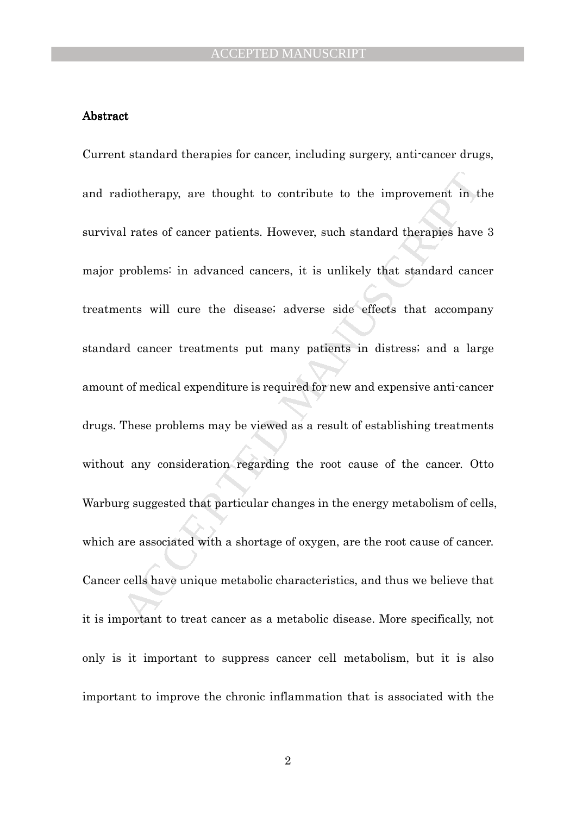#### Abstract

diotherapy, are thought to contribute to the improvement in the individual rates of cancer patients. However, such standard therapies have problems: in advanced cancers, it is unlikely that standard cance problems: in adva Current standard therapies for cancer, including surgery, anti-cancer drugs, and radiotherapy, are thought to contribute to the improvement in the survival rates of cancer patients. However, such standard therapies have 3 major problems: in advanced cancers, it is unlikely that standard cancer treatments will cure the disease; adverse side effects that accompany standard cancer treatments put many patients in distress; and a large amount of medical expenditure is required for new and expensive anti-cancer drugs. These problems may be viewed as a result of establishing treatments without any consideration regarding the root cause of the cancer. Otto Warburg suggested that particular changes in the energy metabolism of cells, which are associated with a shortage of oxygen, are the root cause of cancer. Cancer cells have unique metabolic characteristics, and thus we believe that it is important to treat cancer as a metabolic disease. More specifically, not only is it important to suppress cancer cell metabolism, but it is also important to improve the chronic inflammation that is associated with the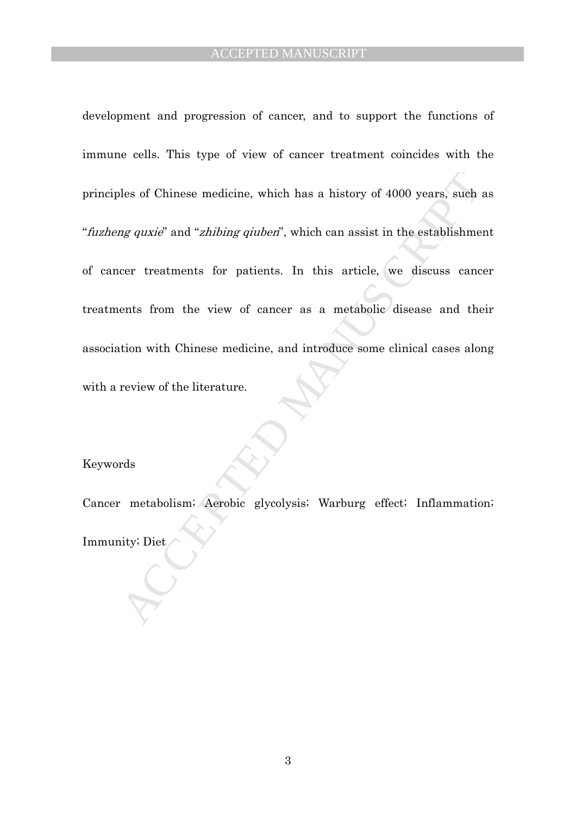les of Chinese medicine, which has a history of 4000 years, such and the extablishme and "chibing qiuben", which can assist in the establishme correct treatments for patients. In this article, we discuss cance the form the development and progression of cancer, and to support the functions of immune cells. This type of view of cancer treatment coincides with the principles of Chinese medicine, which has a history of 4000 years, such as "fuzheng quxie" and "zhibing qiuben", which can assist in the establishment of cancer treatments for patients. In this article, we discuss cancer treatments from the view of cancer as a metabolic disease and their association with Chinese medicine, and introduce some clinical cases along with a review of the literature.

#### Keywords

Cancer metabolism; Aerobic glycolysis; Warburg effect; Inflammation; Immunity; Diet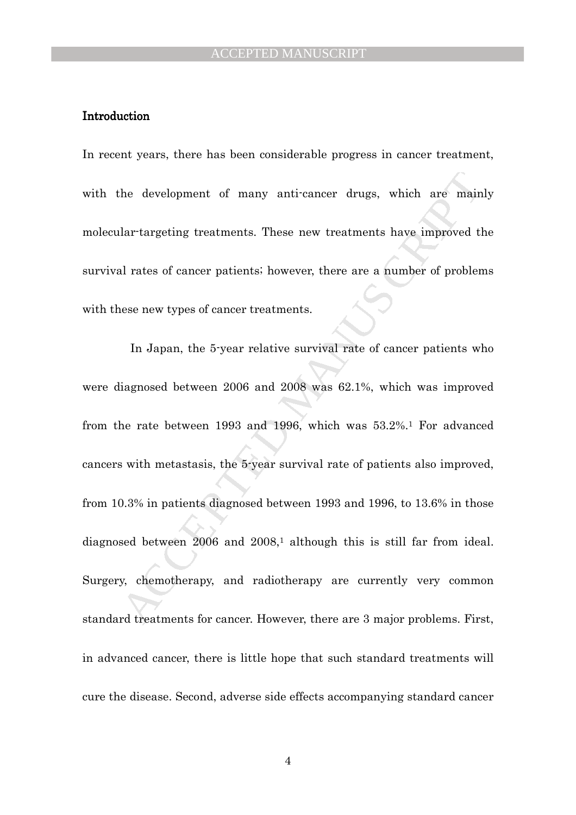#### Introduction

In recent years, there has been considerable progress in cancer treatment, with the development of many anti-cancer drugs, which are mainly molecular-targeting treatments. These new treatments have improved the survival rates of cancer patients; however, there are a number of problems with these new types of cancer treatments.

the development of many anti-cancer drugs, which are main<br>lar-targeting treatments. These new treatments have improved tl<br>d rates of cancer patients: however, there are a number of problem<br>csc now types of cancer treatment In Japan, the 5-year relative survival rate of cancer patients who were diagnosed between 2006 and 2008 was 62.1%, which was improved from the rate between 1993 and 1996, which was 53.2%.1 For advanced cancers with metastasis, the 5-year survival rate of patients also improved, from 10.3% in patients diagnosed between 1993 and 1996, to 13.6% in those diagnosed between 2006 and 2008,<sup>1</sup> although this is still far from ideal. Surgery, chemotherapy, and radiotherapy are currently very common standard treatments for cancer. However, there are 3 major problems. First, in advanced cancer, there is little hope that such standard treatments will cure the disease. Second, adverse side effects accompanying standard cancer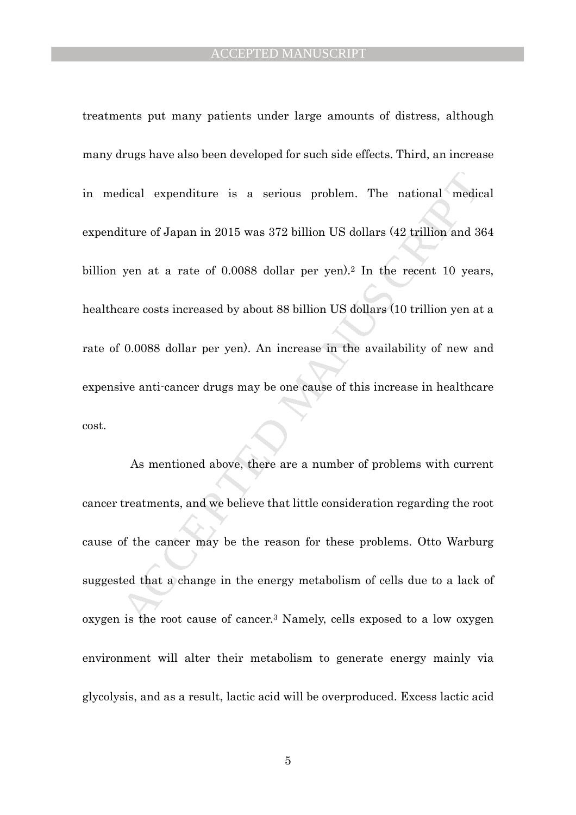dical expenditure is a serious problem. The national medic<br>iture of Japan in 2015 was 372 billion US dollars (42 trillion and 36<br>yen at a rate of 0.0088 dollar per yen).<sup>2</sup> In the recent 10 year<br>arc costs increased by abou treatments put many patients under large amounts of distress, although many drugs have also been developed for such side effects. Third, an increase in medical expenditure is a serious problem. The national medical expenditure of Japan in 2015 was 372 billion US dollars (42 trillion and 364 billion yen at a rate of 0.0088 dollar per yen).<sup>2</sup> In the recent 10 years, healthcare costs increased by about 88 billion US dollars (10 trillion yen at a rate of 0.0088 dollar per yen). An increase in the availability of new and expensive anti-cancer drugs may be one cause of this increase in healthcare cost.

As mentioned above, there are a number of problems with current cancer treatments, and we believe that little consideration regarding the root cause of the cancer may be the reason for these problems. Otto Warburg suggested that a change in the energy metabolism of cells due to a lack of oxygen is the root cause of cancer.3 Namely, cells exposed to a low oxygen environment will alter their metabolism to generate energy mainly via glycolysis, and as a result, lactic acid will be overproduced. Excess lactic acid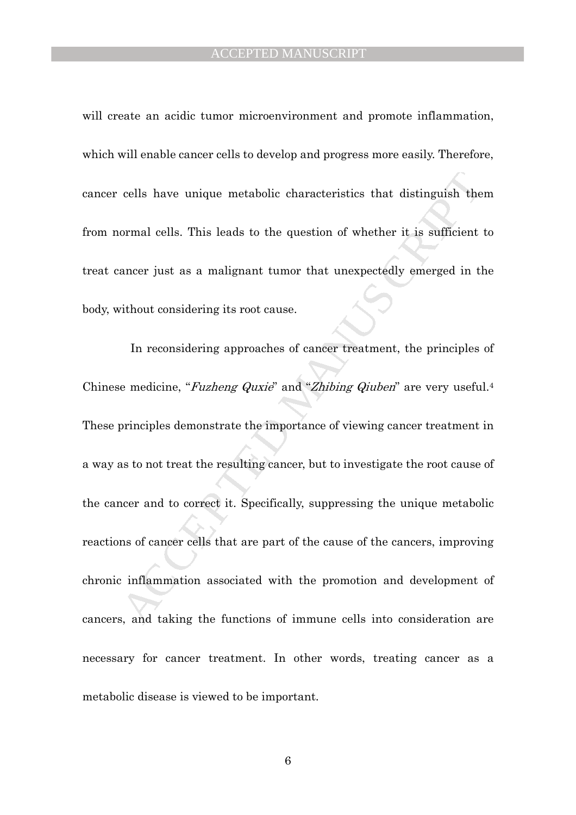will create an acidic tumor microenvironment and promote inflammation, which will enable cancer cells to develop and progress more easily. Therefore, cancer cells have unique metabolic characteristics that distinguish them from normal cells. This leads to the question of whether it is sufficient to treat cancer just as a malignant tumor that unexpectedly emerged in the body, without considering its root cause.

cells have unique metabolic characteristics that distinguish the<br>ormal cells. This leads to the question of whether it is sufficient<br>ancer just as a malignant tumor that unexpectedly emerged in tl<br>dithout considering its r In reconsidering approaches of cancer treatment, the principles of Chinese medicine, "Fuzheng Quxie" and "Zhibing Qiuben" are very useful.<sup>4</sup> These principles demonstrate the importance of viewing cancer treatment in a way as to not treat the resulting cancer, but to investigate the root cause of the cancer and to correct it. Specifically, suppressing the unique metabolic reactions of cancer cells that are part of the cause of the cancers, improving chronic inflammation associated with the promotion and development of cancers, and taking the functions of immune cells into consideration are necessary for cancer treatment. In other words, treating cancer as a metabolic disease is viewed to be important.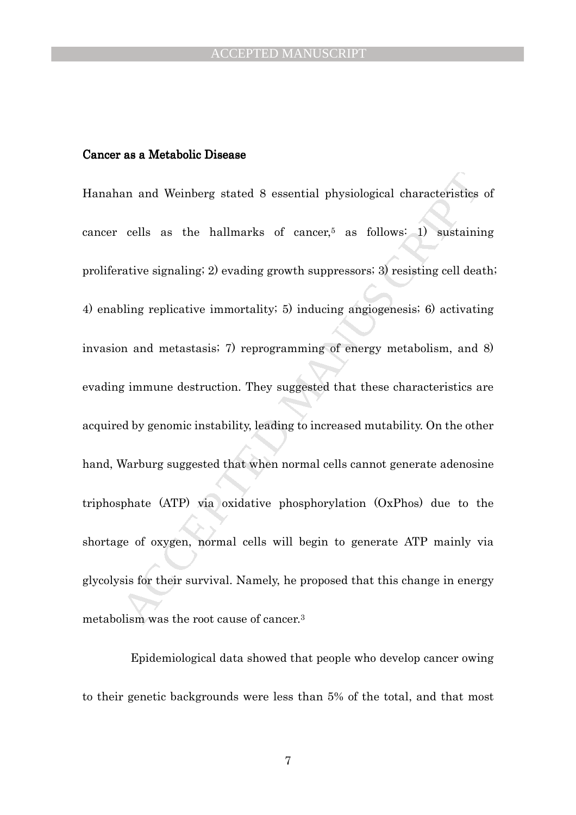#### Cancer as a Metabolic Disease

an and Weinberg stated 8 essential physiological characteristics<br>cells as the hallmarks of cancer,<sup>5</sup> as follows: 1) sustainin<br>rative signaling: 2) evading growth suppressors: 3) resisting cell deat<br>bling replicative immo Hanahan and Weinberg stated 8 essential physiological characteristics of cancer cells as the hallmarks of cancer,<sup>5</sup> as follows: 1) sustaining proliferative signaling; 2) evading growth suppressors; 3) resisting cell death; 4) enabling replicative immortality; 5) inducing angiogenesis; 6) activating invasion and metastasis; 7) reprogramming of energy metabolism, and 8) evading immune destruction. They suggested that these characteristics are acquired by genomic instability, leading to increased mutability. On the other hand, Warburg suggested that when normal cells cannot generate adenosine triphosphate (ATP) via oxidative phosphorylation (OxPhos) due to the shortage of oxygen, normal cells will begin to generate ATP mainly via glycolysis for their survival. Namely, he proposed that this change in energy metabolism was the root cause of cancer.<sup>3</sup>

Epidemiological data showed that people who develop cancer owing to their genetic backgrounds were less than 5% of the total, and that most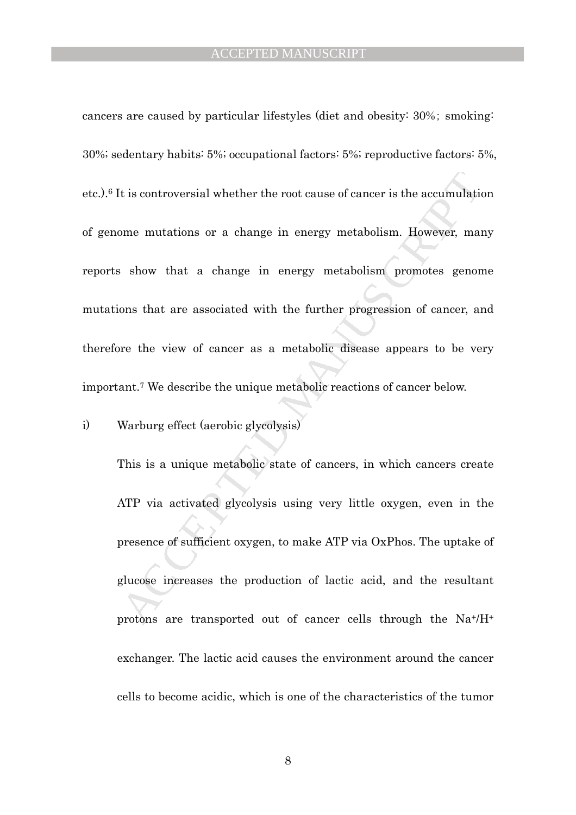t is controversial whether the root cause of cancer is the accumulation<br>sme mutations or a change in energy metabolism. However, man<br>show that a change in energy metabolism promotes genon<br>ons that are associated with the f cancers are caused by particular lifestyles (diet and obesity: 30%; smoking: 30%; sedentary habits: 5%; occupational factors: 5%; reproductive factors: 5%, etc.).6 It is controversial whether the root cause of cancer is the accumulation of genome mutations or a change in energy metabolism. However, many reports show that a change in energy metabolism promotes genome mutations that are associated with the further progression of cancer, and therefore the view of cancer as a metabolic disease appears to be very important.7 We describe the unique metabolic reactions of cancer below.

i) Warburg effect (aerobic glycolysis)

This is a unique metabolic state of cancers, in which cancers create ATP via activated glycolysis using very little oxygen, even in the presence of sufficient oxygen, to make ATP via OxPhos. The uptake of glucose increases the production of lactic acid, and the resultant protons are transported out of cancer cells through the Na+/H<sup>+</sup> exchanger. The lactic acid causes the environment around the cancer cells to become acidic, which is one of the characteristics of the tumor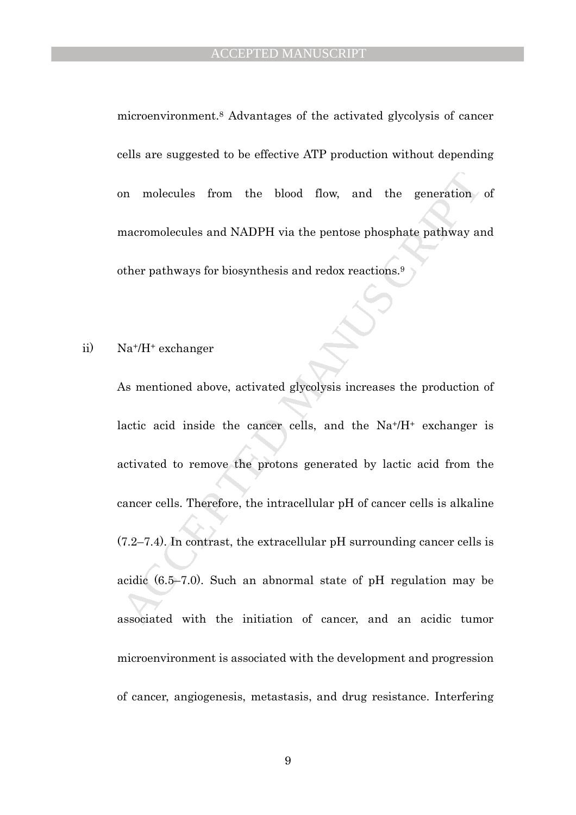microenvironment.8 Advantages of the activated glycolysis of cancer cells are suggested to be effective ATP production without depending on molecules from the blood flow, and the generation of macromolecules and NADPH via the pentose phosphate pathway and other pathways for biosynthesis and redox reactions.<sup>9</sup>

#### ii) Na+/H+ exchanger

on molecules from the blood flow, and the generation<br>macromolecules and NADPH via the pentose phosphate pathway are<br>ther pathways for biosynthesis and redox reactions.<sup>9</sup><br>Na<sup>+</sup>/H<sup>+</sup> exchanger<br>As mentioned above, activated As mentioned above, activated glycolysis increases the production of lactic acid inside the cancer cells, and the  $Na<sup>+</sup>/H<sup>+</sup>$  exchanger is activated to remove the protons generated by lactic acid from the cancer cells. Therefore, the intracellular pH of cancer cells is alkaline (7.2–7.4). In contrast, the extracellular pH surrounding cancer cells is acidic (6.5–7.0). Such an abnormal state of pH regulation may be associated with the initiation of cancer, and an acidic tumor microenvironment is associated with the development and progression of cancer, angiogenesis, metastasis, and drug resistance. Interfering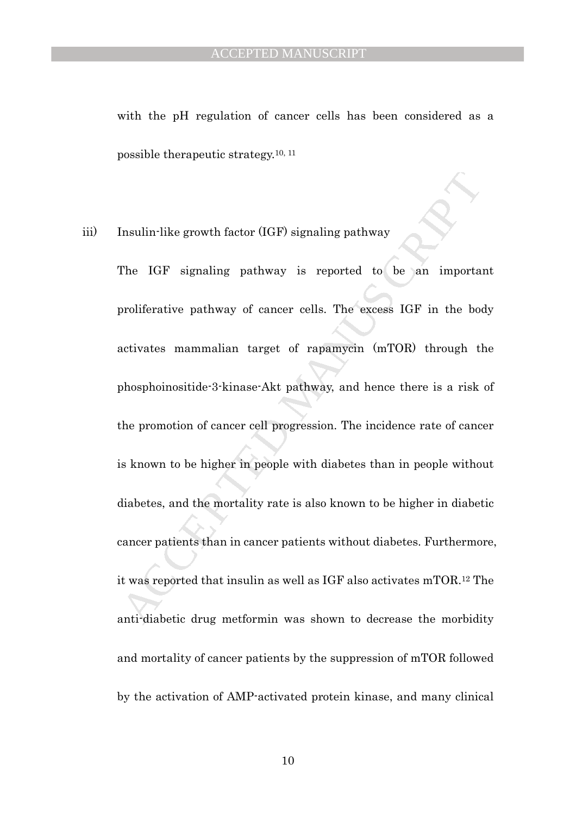with the pH regulation of cancer cells has been considered as a possible therapeutic strategy.10, 11

### iii) Insulin-like growth factor (IGF) signaling pathway

Insulin-like growth factor (IGF) signaling pathway<br>
The IGF signaling pathway is reported to be an importate or<br>
aroliferative pathway of cancer cells. The excess IGF in the botacivates mammalian target of rapamyein (mTOR) The IGF signaling pathway is reported to be an important proliferative pathway of cancer cells. The excess IGF in the body activates mammalian target of rapamycin (mTOR) through the phosphoinositide-3-kinase-Akt pathway, and hence there is a risk of the promotion of cancer cell progression. The incidence rate of cancer is known to be higher in people with diabetes than in people without diabetes, and the mortality rate is also known to be higher in diabetic cancer patients than in cancer patients without diabetes. Furthermore, it was reported that insulin as well as IGF also activates mTOR.12 The anti-diabetic drug metformin was shown to decrease the morbidity and mortality of cancer patients by the suppression of mTOR followed by the activation of AMP-activated protein kinase, and many clinical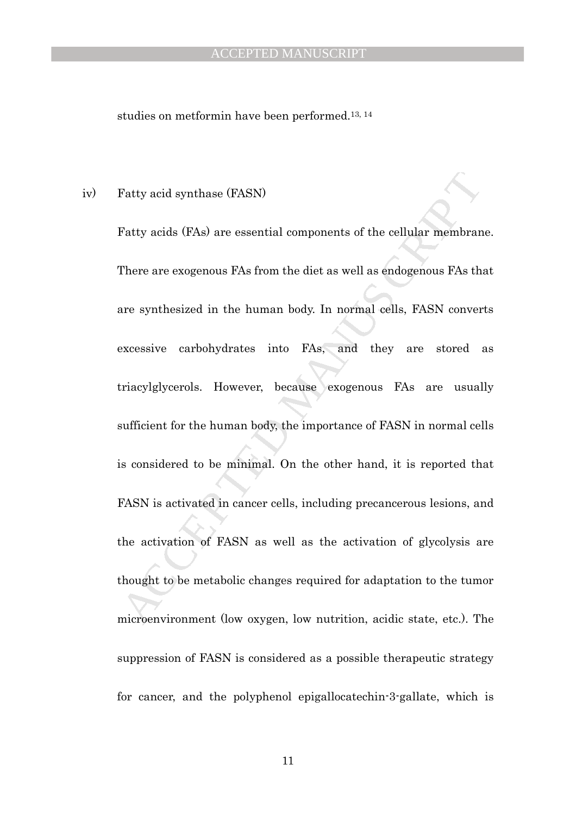#### ACCEPTED MANUSCRIPT

studies on metformin have been performed.13, 14

#### iv) Fatty acid synthase (FASN)

Fatty acid synthase (FASN)<br>Fatty acids (FAs) are essential components of the cellular membran<br>There are exogenous FAs from the diet as well as endogenous FAs th<br>are synthesized in the human body. In normal cells, FASN conv Fatty acids (FAs) are essential components of the cellular membrane. There are exogenous FAs from the diet as well as endogenous FAs that are synthesized in the human body. In normal cells, FASN converts excessive carbohydrates into FAs, and they are stored as triacylglycerols. However, because exogenous FAs are usually sufficient for the human body, the importance of FASN in normal cells is considered to be minimal. On the other hand, it is reported that FASN is activated in cancer cells, including precancerous lesions, and the activation of FASN as well as the activation of glycolysis are thought to be metabolic changes required for adaptation to the tumor microenvironment (low oxygen, low nutrition, acidic state, etc.). The suppression of FASN is considered as a possible therapeutic strategy for cancer, and the polyphenol epigallocatechin-3-gallate, which is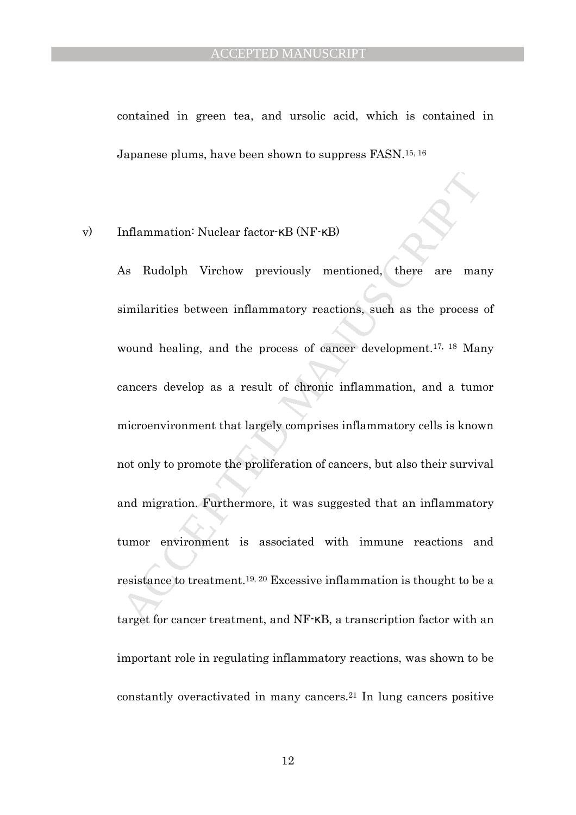contained in green tea, and ursolic acid, which is contained in Japanese plums, have been shown to suppress FASN.15, 16

#### v) Inflammation: Nuclear factor-κB (NF-κB)

Inflammation: Nuclear factor  $\kappa$ B (NF· $\kappa$ B)<br>As Rudolph Virchow previously mentioned, there are main<br>imilarities between inflammatory reactions, such as the process<br>wound healing, and the process of cancer development. As Rudolph Virchow previously mentioned, there are many similarities between inflammatory reactions, such as the process of wound healing, and the process of cancer development.<sup>17, 18</sup> Many cancers develop as a result of chronic inflammation, and a tumor microenvironment that largely comprises inflammatory cells is known not only to promote the proliferation of cancers, but also their survival and migration. Furthermore, it was suggested that an inflammatory tumor environment is associated with immune reactions and resistance to treatment.19, 20 Excessive inflammation is thought to be a target for cancer treatment, and NF-κB, a transcription factor with an important role in regulating inflammatory reactions, was shown to be constantly overactivated in many cancers.21 In lung cancers positive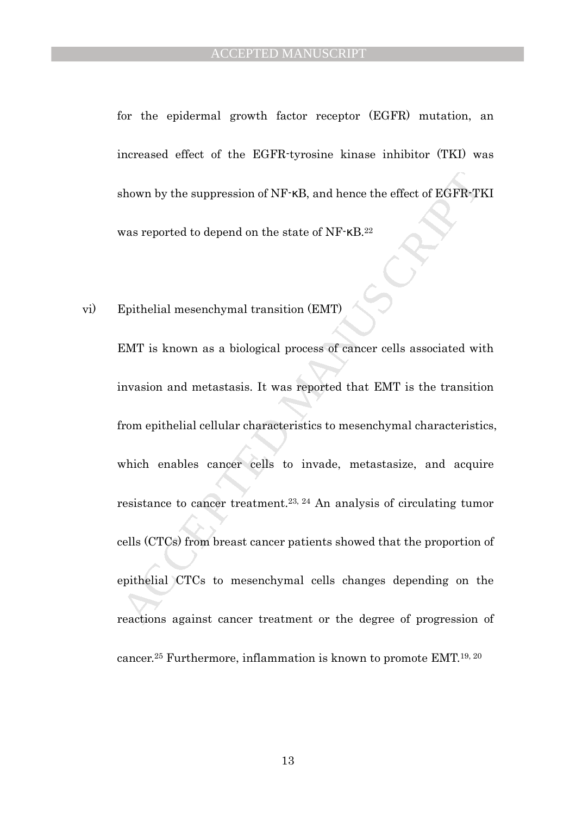for the epidermal growth factor receptor (EGFR) mutation, an increased effect of the EGFR-tyrosine kinase inhibitor (TKI) was shown by the suppression of NF-κB, and hence the effect of EGFR-TKI was reported to depend on the state of NF-κB.<sup>22</sup>

#### vi) Epithelial mesenchymal transition (EMT)

shown by the suppression of NF-KB, and hence the effect of EGFR-T<br>was reported to depend on the state of NF-KB.<sup>22</sup><br>Epitholial mesenchymal transition (EMT)<br>EMT is known as a biological process of cancer cells associated wi EMT is known as a biological process of cancer cells associated with invasion and metastasis. It was reported that EMT is the transition from epithelial cellular characteristics to mesenchymal characteristics, which enables cancer cells to invade, metastasize, and acquire resistance to cancer treatment.23, 24 An analysis of circulating tumor cells (CTCs) from breast cancer patients showed that the proportion of epithelial CTCs to mesenchymal cells changes depending on the reactions against cancer treatment or the degree of progression of cancer.25 Furthermore, inflammation is known to promote EMT.19, 20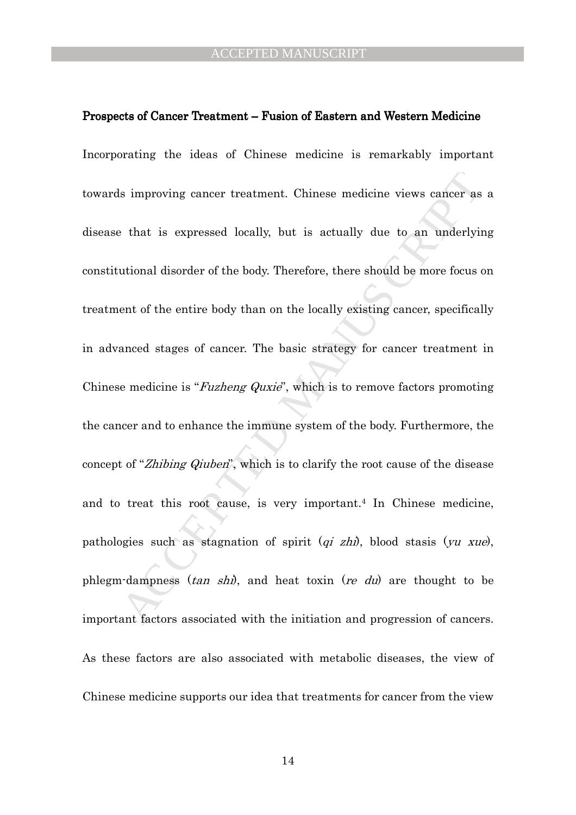#### Prospects of Cancer Treatment – Fusion of Eastern and Western Medicine

is improving cancer treatment. Chinese medicine views cancer as<br>
that is expressed locally, but is actually due to an underly<br>
intional disorder of the body. Therefore, there should be more focus<br>
cont of the entire body Incorporating the ideas of Chinese medicine is remarkably important towards improving cancer treatment. Chinese medicine views cancer as a disease that is expressed locally, but is actually due to an underlying constitutional disorder of the body. Therefore, there should be more focus on treatment of the entire body than on the locally existing cancer, specifically in advanced stages of cancer. The basic strategy for cancer treatment in Chinese medicine is "*Fuzheng Quxie*", which is to remove factors promoting the cancer and to enhance the immune system of the body. Furthermore, the concept of "Zhibing Qiuben", which is to clarify the root cause of the disease and to treat this root cause, is very important.4 In Chinese medicine, pathologies such as stagnation of spirit  $(qi zhi)$ , blood stasis  $(yu xue)$ , phlegm-dampness  $(tan shi)$ , and heat toxin  $(re du)$  are thought to be important factors associated with the initiation and progression of cancers. As these factors are also associated with metabolic diseases, the view of Chinese medicine supports our idea that treatments for cancer from the view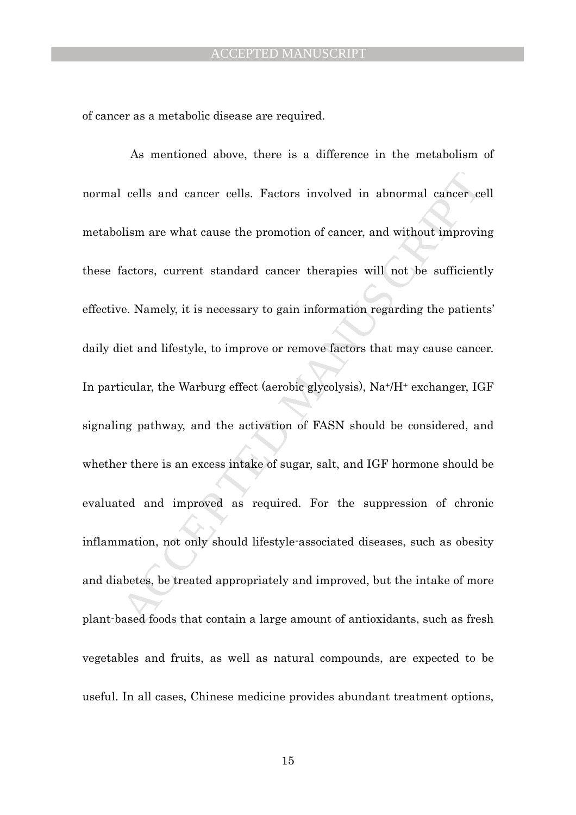of cancer as a metabolic disease are required.

cells and cancer cells. Factors involved in abnormal cancer collism are what cause the promotion of cancer, and without improving a late of all matches and intervalsed accepts and information regarding the patient is conce As mentioned above, there is a difference in the metabolism of normal cells and cancer cells. Factors involved in abnormal cancer cell metabolism are what cause the promotion of cancer, and without improving these factors, current standard cancer therapies will not be sufficiently effective. Namely, it is necessary to gain information regarding the patients' daily diet and lifestyle, to improve or remove factors that may cause cancer. In particular, the Warburg effect (aerobic glycolysis), Na+/H+ exchanger, IGF signaling pathway, and the activation of FASN should be considered, and whether there is an excess intake of sugar, salt, and IGF hormone should be evaluated and improved as required. For the suppression of chronic inflammation, not only should lifestyle-associated diseases, such as obesity and diabetes, be treated appropriately and improved, but the intake of more plant-based foods that contain a large amount of antioxidants, such as fresh vegetables and fruits, as well as natural compounds, are expected to be useful. In all cases, Chinese medicine provides abundant treatment options,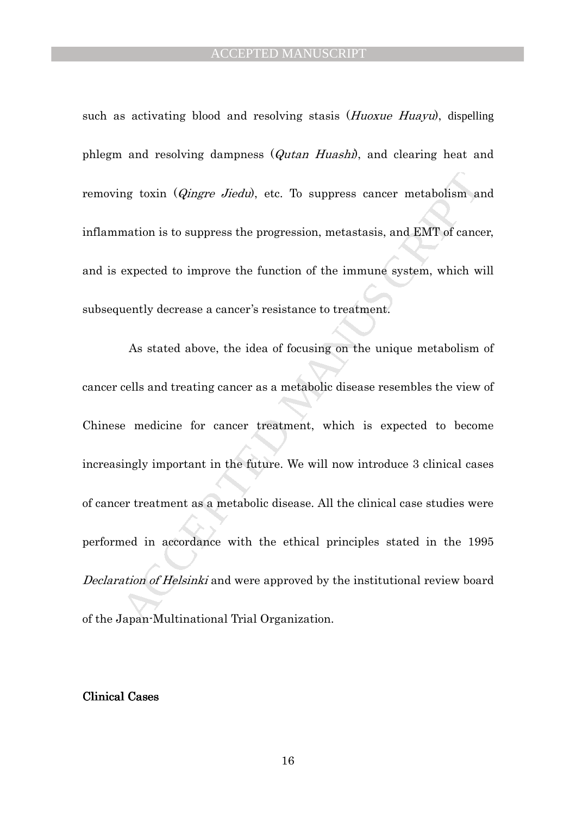such as activating blood and resolving stasis (*Huoxue Huayu*), dispelling phlegm and resolving dampness (Qutan Huashi), and clearing heat and removing toxin (*Qingre Jiedu*), etc. To suppress cancer metabolism and inflammation is to suppress the progression, metastasis, and EMT of cancer, and is expected to improve the function of the immune system, which will subsequently decrease a cancer's resistance to treatment.

mg toxin (*Qingre Jiodu*), etc. To suppress cancer metabolism and<br>mation is to suppress the progression, metastasis, and EMT of cance<br>expected to improve the function of the immune system, which w<br>ucntly decrease a cancer' As stated above, the idea of focusing on the unique metabolism of cancer cells and treating cancer as a metabolic disease resembles the view of Chinese medicine for cancer treatment, which is expected to become increasingly important in the future. We will now introduce 3 clinical cases of cancer treatment as a metabolic disease. All the clinical case studies were performed in accordance with the ethical principles stated in the 1995 Declaration of Helsinki and were approved by the institutional review board of the Japan-Multinational Trial Organization.

#### **Clinical Cases**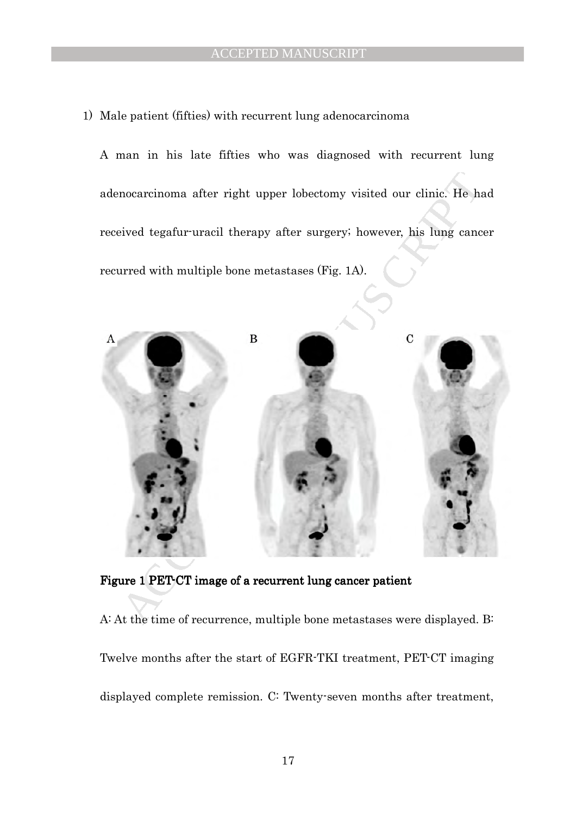1) Male patient (fifties) with recurrent lung adenocarcinoma

A man in his late fifties who was diagnosed with recurrent lung adenocarcinoma after right upper lobectomy visited our clinic. He had received tegafur-uracil therapy after surgery; however, his lung cancer recurred with multiple bone metastases (Fig. 1A).



Figure 1 PET-CT image of a recurrent lung cancer patient

A: At the time of recurrence, multiple bone metastases were displayed. B: Twelve months after the start of EGFR-TKI treatment, PET-CT imaging displayed complete remission. C: Twenty-seven months after treatment,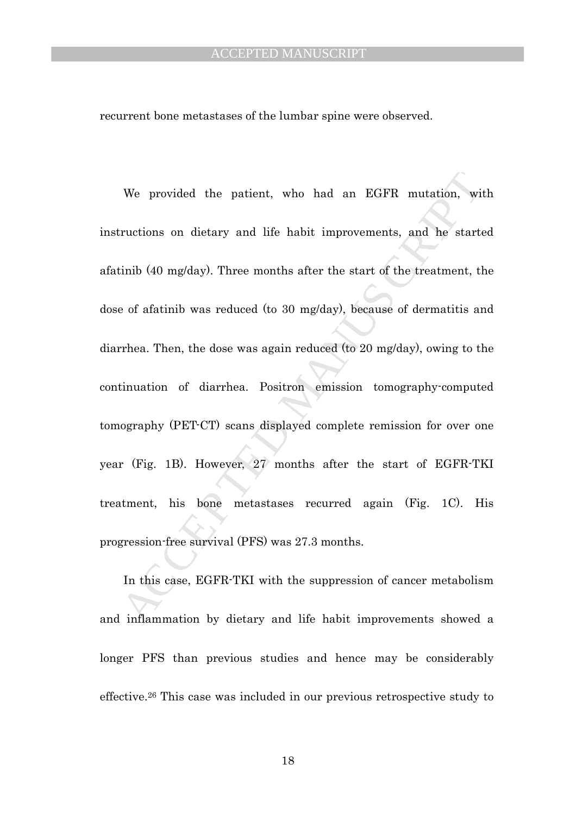#### ACCEPTED MANUSCRIPT

recurrent bone metastases of the lumbar spine were observed.

We provided the patient, who had an EGFR mutation, wi<br>ructions on dietary and life habit improvements, and he start<br>inib (40 mg/day). Three months after the start of the treatment, tl<br>of afatinib was reduced (to 30 mg/day) We provided the patient, who had an EGFR mutation, with instructions on dietary and life habit improvements, and he started afatinib (40 mg/day). Three months after the start of the treatment, the dose of afatinib was reduced (to 30 mg/day), because of dermatitis and diarrhea. Then, the dose was again reduced (to 20 mg/day), owing to the continuation of diarrhea. Positron emission tomography-computed tomography (PET-CT) scans displayed complete remission for over one year (Fig. 1B). However, 27 months after the start of EGFR-TKI treatment, his bone metastases recurred again (Fig. 1C). His progression-free survival (PFS) was 27.3 months.

In this case, EGFR-TKI with the suppression of cancer metabolism and inflammation by dietary and life habit improvements showed a longer PFS than previous studies and hence may be considerably effective.26 This case was included in our previous retrospective study to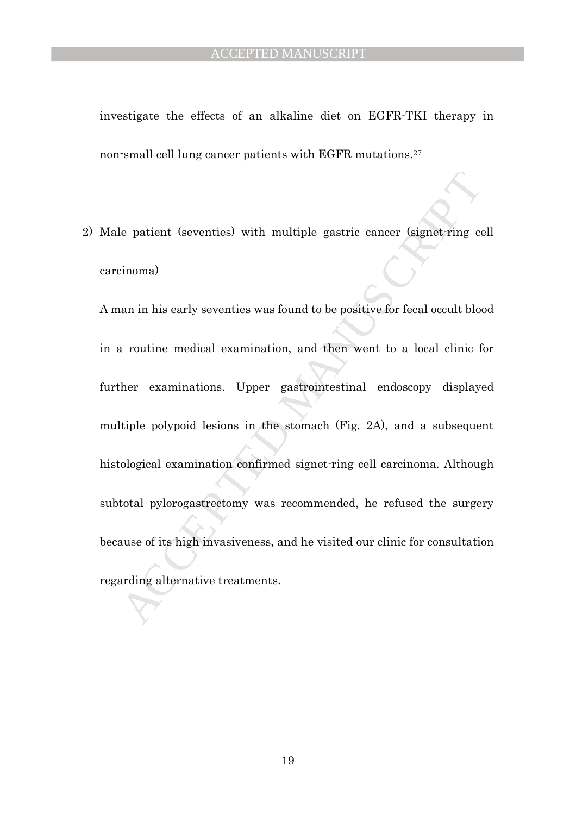investigate the effects of an alkaline diet on EGFR-TKI therapy in non-small cell lung cancer patients with EGFR mutations.<sup>27</sup>

2) Male patient (seventies) with multiple gastric cancer (signet-ring cell carcinoma)

e patient (seventies) with multiple gastric cancer (signet-ring comona)<br>
an in his carly seventics was found to be positive for focal occult bloom<br>
a routine medical examination, and then went to a local clinic f<br>
her exam A man in his early seventies was found to be positive for fecal occult blood in a routine medical examination, and then went to a local clinic for further examinations. Upper gastrointestinal endoscopy displayed multiple polypoid lesions in the stomach (Fig. 2A), and a subsequent histological examination confirmed signet-ring cell carcinoma. Although subtotal pylorogastrectomy was recommended, he refused the surgery because of its high invasiveness, and he visited our clinic for consultation regarding alternative treatments.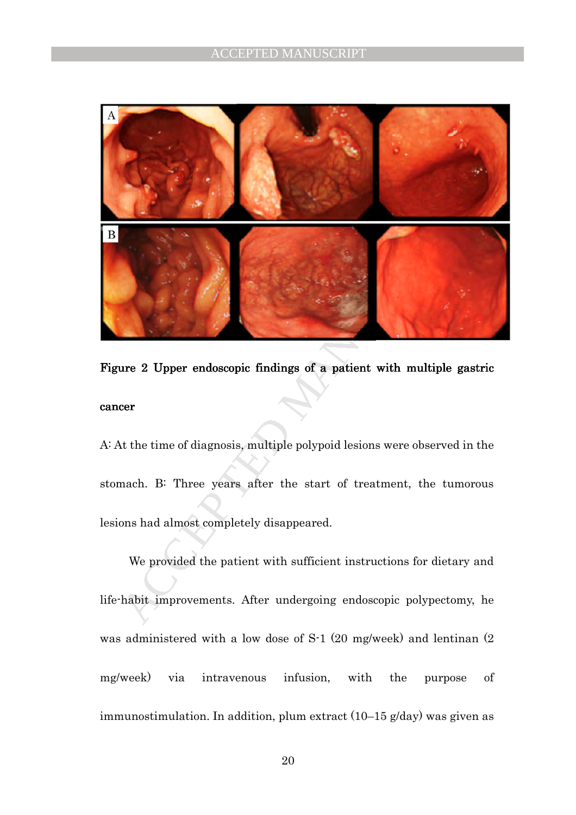

# Figure 2 Upper endoscopic findings of a patient with multiple gastric cancer

A: At the time of diagnosis, multiple polypoid lesions were observed in the stomach. B: Three years after the start of treatment, the tumorous lesions had almost completely disappeared.

We provided the patient with sufficient instructions for dietary and life-habit improvements. After undergoing endoscopic polypectomy, he was administered with a low dose of S-1 (20 mg/week) and lentinan (2 mg/week) via intravenous infusion, with the purpose of immunostimulation. In addition, plum extract (10–15 g/day) was given as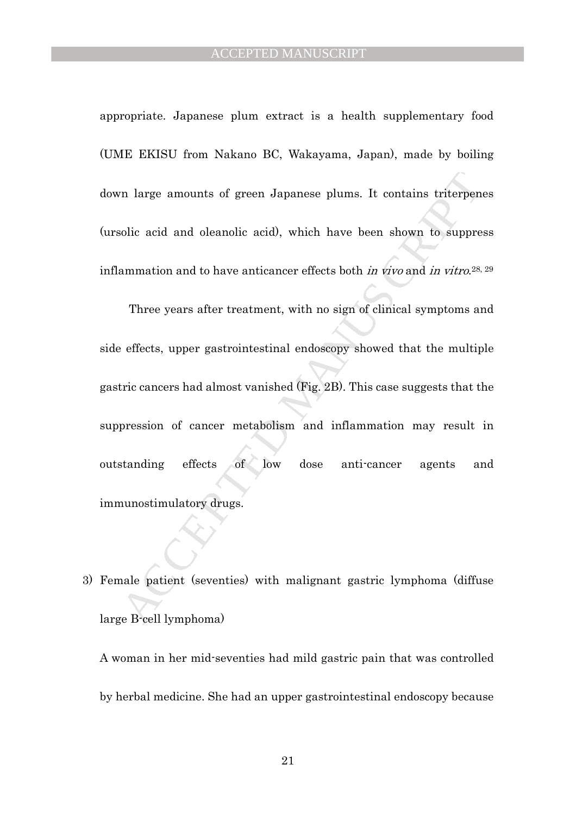appropriate. Japanese plum extract is a health supplementary food (UME EKISU from Nakano BC, Wakayama, Japan), made by boiling down large amounts of green Japanese plums. It contains triterpenes (ursolic acid and oleanolic acid), which have been shown to suppress inflammation and to have anticancer effects both *in vivo* and *in vitro*.<sup>28, 29</sup>

The large amounts of green Japanese plums. It contains triterpen<br>
solic acid and oleanolic acid), which have been shown to suppre<br>
summation and to have anticancer effects both *in vitro* and *in vitro*.<sup>28</sup>.<br>
Three years Three years after treatment, with no sign of clinical symptoms and side effects, upper gastrointestinal endoscopy showed that the multiple gastric cancers had almost vanished (Fig. 2B). This case suggests that the suppression of cancer metabolism and inflammation may result in outstanding effects of low dose anti-cancer agents and immunostimulatory drugs.

3) Female patient (seventies) with malignant gastric lymphoma (diffuse large B-cell lymphoma)

A woman in her mid-seventies had mild gastric pain that was controlled by herbal medicine. She had an upper gastrointestinal endoscopy because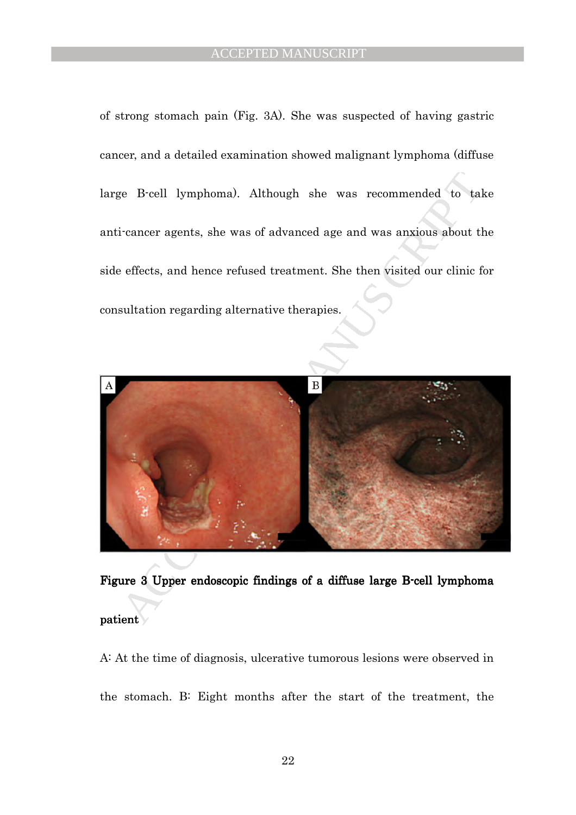of strong stomach pain (Fig. 3A). She was suspected of having gastric cancer, and a detailed examination showed malignant lymphoma (diffuse large B-cell lymphoma). Although she was recommended to take anti-cancer agents, she was of advanced age and was anxious about the side effects, and hence refused treatment. She then visited our clinic for consultation regarding alternative therapies.



Figure 3 Upper endoscopic findings of a diffuse large B-cell lymphoma patient

A: At the time of diagnosis, ulcerative tumorous lesions were observed in the stomach. B: Eight months after the start of the treatment, the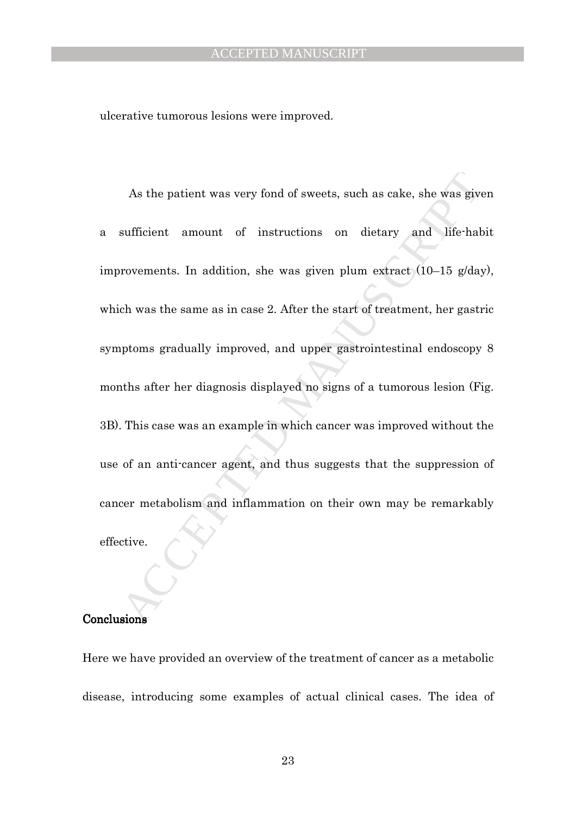ulcerative tumorous lesions were improved.

As the patient was very fond of sweets, such as cake, she was gives<br>sufficient amount of instructions on dietary and life-half<br>rovements. In addition, she was given plum extract  $(10-15 \text{ g/day})$ <br>ch was the same as in case 2 As the patient was very fond of sweets, such as cake, she was given a sufficient amount of instructions on dietary and life-habit improvements. In addition, she was given plum extract (10–15 g/day), which was the same as in case 2. After the start of treatment, her gastric symptoms gradually improved, and upper gastrointestinal endoscopy 8 months after her diagnosis displayed no signs of a tumorous lesion (Fig. 3B). This case was an example in which cancer was improved without the use of an anti-cancer agent, and thus suggests that the suppression of cancer metabolism and inflammation on their own may be remarkably effective.

#### **Conclusions**

Here we have provided an overview of the treatment of cancer as a metabolic disease, introducing some examples of actual clinical cases. The idea of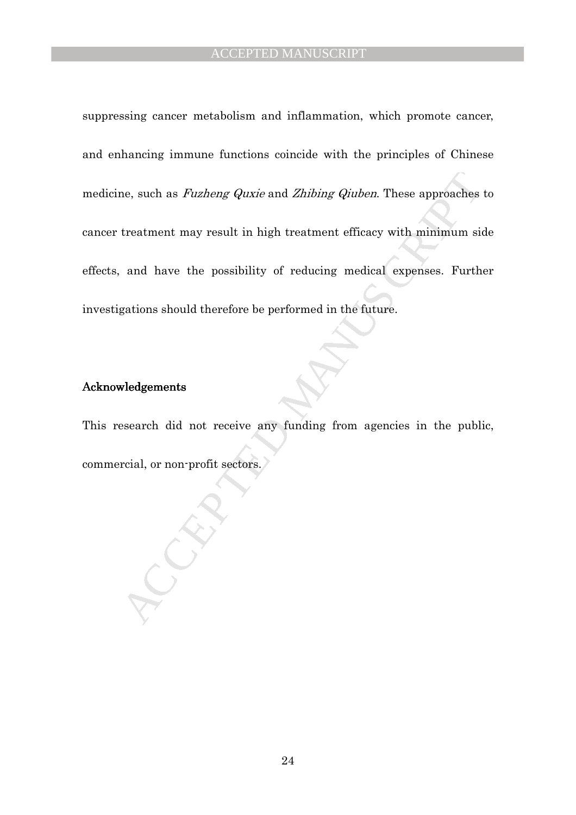ne, such as *Fuzheng Quxie* and *Zhibing Quben*. These approaches<br>treatment may result in high treatment efficacy with minimum si<br>and have the possibility of reducing medical expenses. Furth<br>gations should therefore be per suppressing cancer metabolism and inflammation, which promote cancer, and enhancing immune functions coincide with the principles of Chinese medicine, such as *Fuzheng Quxie* and *Zhibing Qiuben*. These approaches to cancer treatment may result in high treatment efficacy with minimum side effects, and have the possibility of reducing medical expenses. Further investigations should therefore be performed in the future.

#### Acknowledgements Acknowledgements

This research did not receive any funding from agencies in the public, commercial, or non-profit sectors.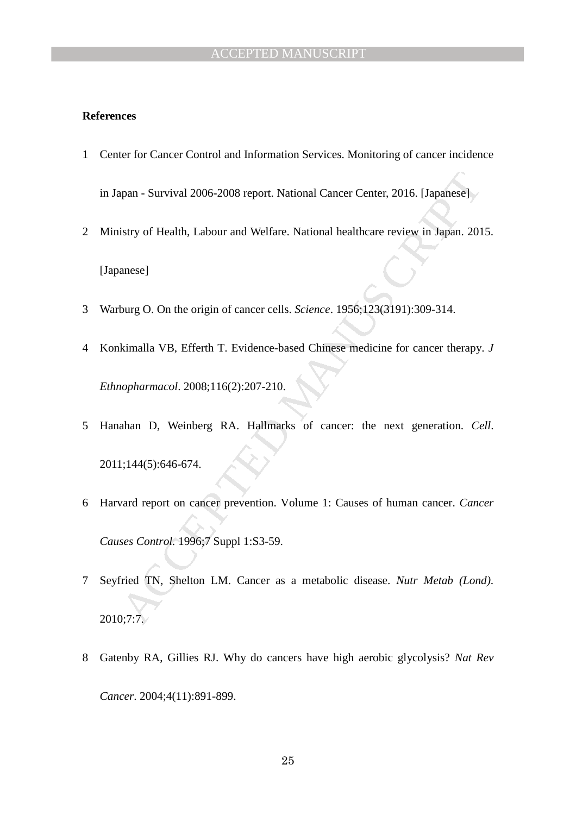#### **References**

- 1 Center for Cancer Control and Information Services. Monitoring of cancer incidence in Japan - Survival 2006-2008 report. National Cancer Center, 2016. [Japanese]
- 2 Ministry of Health, Labour and Welfare. National healthcare review in Japan. 2015. [Japanese]
- 3 Warburg O. On the origin of cancer cells. *Science*. 1956;123(3191):309-314.
- 4 Konkimalla VB, Efferth T. Evidence-based Chinese medicine for cancer therapy. *J Ethnopharmacol*. 2008;116(2):207-210.
- 5 Hanahan D, Weinberg RA. Hallmarks of cancer: the next generation. *Cell*. 2011;144(5):646-674.
- man Survival 2006-2008 report. National Cancer Center, 2016. [Japanese]<br>
istry of Health, Labour and Welfare. National healthcare review in Japan. 201<br>
annese]<br>
annese<br>
annese<br>
1990. On the origin of cancer cells. *Scien* 6 Harvard report on cancer prevention. Volume 1: Causes of human cancer. *Cancer Causes Control.* 1996;7 Suppl 1:S3-59.
- 7 Seyfried TN, Shelton LM. Cancer as a metabolic disease. *Nutr Metab (Lond)*. 2010;7:7.
- 8 Gatenby RA, Gillies RJ. Why do cancers have high aerobic glycolysis? *Nat Rev Cancer*. 2004;4(11):891-899.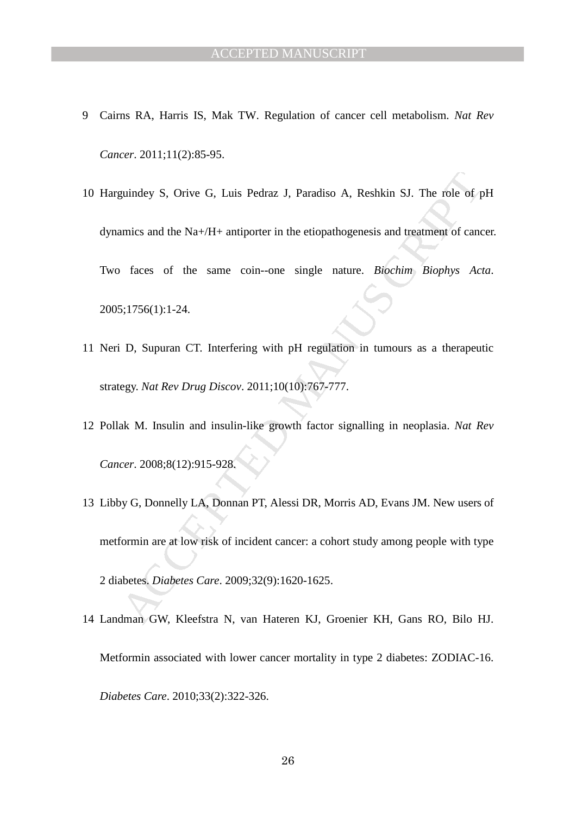- 9 Cairns RA, Harris IS, Mak TW. Regulation of cancer cell metabolism. *Nat Rev Cancer*. 2011;11(2):85-95.
- guindey S, Orive G, Luis Pedraz J, Paradiso A, Reshkin SJ. The role of f<br>amics and the Na+/H+ antiporter in the etiopathogenesis and treatment of cane<br>faces of the same coin--one single nature. *Biochim Biophys Acc*<br>faces 10 Harguindey S, Orive G, Luis Pedraz J, Paradiso A, Reshkin SJ. The role of pH dynamics and the Na+/H+ antiporter in the etiopathogenesis and treatment of cancer. Two faces of the same coin--one single nature. *Biochim Biophys Acta*. 2005;1756(1):1-24.
- 11 Neri D, Supuran CT. Interfering with pH regulation in tumours as a therapeutic strategy. *Nat Rev Drug Discov*. 2011;10(10):767-777.
- 12 Pollak M. Insulin and insulin-like growth factor signalling in neoplasia. *Nat Rev Cancer*. 2008;8(12):915-928.
- 13 Libby G, Donnelly LA, Donnan PT, Alessi DR, Morris AD, Evans JM. New users of metformin are at low risk of incident cancer: a cohort study among people with type 2 diabetes. *Diabetes Care*. 2009;32(9):1620-1625.
- 14 Landman GW, Kleefstra N, van Hateren KJ, Groenier KH, Gans RO, Bilo HJ. Metformin associated with lower cancer mortality in type 2 diabetes: ZODIAC-16. *Diabetes Care*. 2010;33(2):322-326.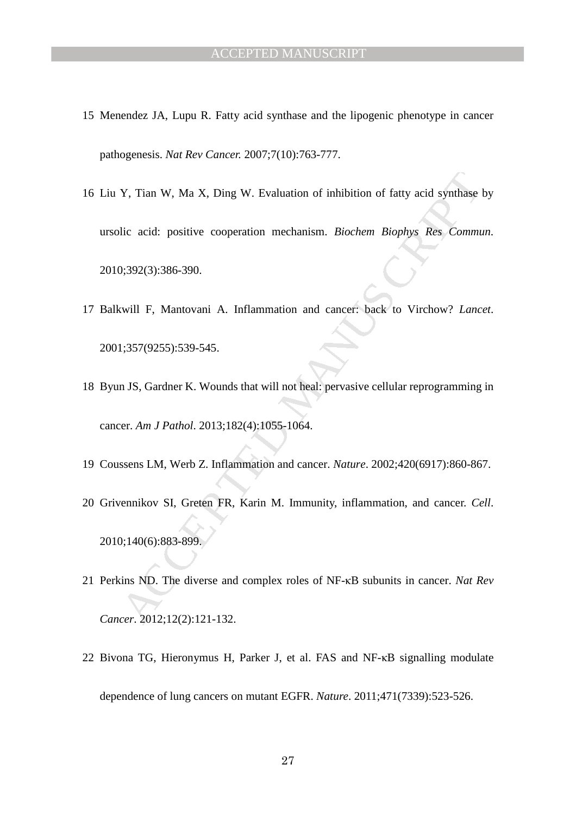- 15 Menendez JA, Lupu R. Fatty acid synthase and the lipogenic phenotype in cancer pathogenesis. *Nat Rev Cancer.* 2007;7(10):763-777.
- Y, Tian W, Ma X, Ding W. Evaluation of inhibition of fatty acid synthase lic acid: positive cooperation mechanism. *Biochem Biophys Res Commu*, 0,:392(3):386-390.<br>
Will F, Mantovani A. Inflammation and cancer: back to Virc 16 Liu Y, Tian W, Ma X, Ding W. Evaluation of inhibition of fatty acid synthase by ursolic acid: positive cooperation mechanism. *Biochem Biophys Res Commun*. 2010;392(3):386-390.
- 17 Balkwill F, Mantovani A. Inflammation and cancer: back to Virchow? *Lancet*. 2001;357(9255):539-545.
- 18 Byun JS, Gardner K. Wounds that will not heal: pervasive cellular reprogramming in cancer. *Am J Pathol*. 2013;182(4):1055-1064.
- 19 Coussens LM, Werb Z. Inflammation and cancer. *Nature*. 2002;420(6917):860-867.
- 20 Grivennikov SI, Greten FR, Karin M. Immunity, inflammation, and cancer. *Cell*. 2010;140(6):883-899.
- 21 Perkins ND. The diverse and complex roles of NF-κB subunits in cancer. *Nat Rev Cancer*. 2012;12(2):121-132.
- 22 Bivona TG, Hieronymus H, Parker J, et al. FAS and NF-κB signalling modulate dependence of lung cancers on mutant EGFR. *Nature*. 2011;471(7339):523-526.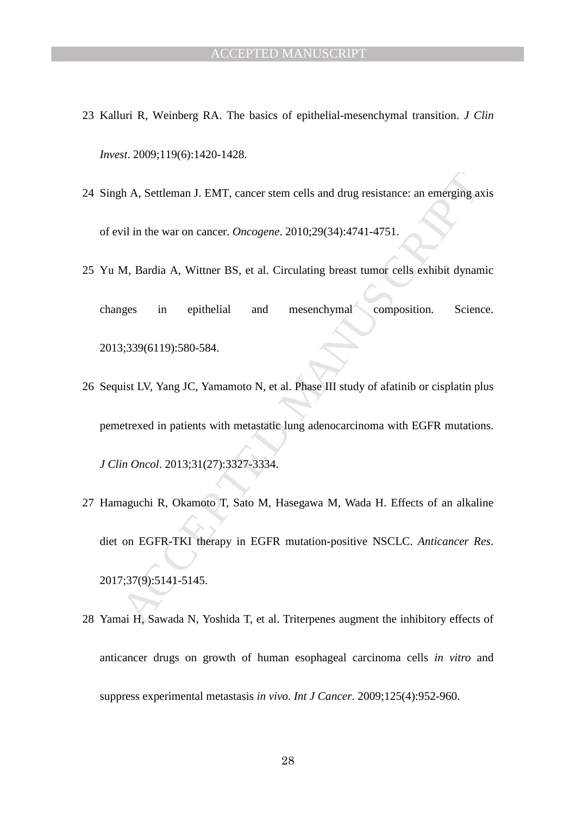- 23 Kalluri R, Weinberg RA. The basics of epithelial-mesenchymal transition. *J Clin Invest*. 2009;119(6):1420-1428.
- 24 Singh A, Settleman J. EMT, cancer stem cells and drug resistance: an emerging axis of evil in the war on cancer. *Oncogene*. 2010;29(34):4741-4751.
- 25 Yu M, Bardia A, Wittner BS, et al. Circulating breast tumor cells exhibit dynamic changes in epithelial and mesenchymal composition. Science. 2013;339(6119):580-584.
- 26 Sequist LV, Yang JC, Yamamoto N, et al. Phase III study of afatinib or cisplatin plus pemetrexed in patients with metastatic lung adenocarcinoma with EGFR mutations. *J Clin Oncol*. 2013;31(27):3327-3334.
- 2.13.39 (6119):580-584. The unit of the user of the user of the user of the user of the user of the user of the user of the user of the user of the user of the user of the user of the user of the user of the user of the us 27 Hamaguchi R, Okamoto T, Sato M, Hasegawa M, Wada H. Effects of an alkaline diet on EGFR-TKI therapy in EGFR mutation-positive NSCLC. *Anticancer Res*. 2017;37(9):5141-5145.
- 28 Yamai H, Sawada N, Yoshida T, et al. Triterpenes augment the inhibitory effects of anticancer drugs on growth of human esophageal carcinoma cells *in vitro* and suppress experimental metastasis *in vivo*. *Int J Cancer*. 2009;125(4):952-960.